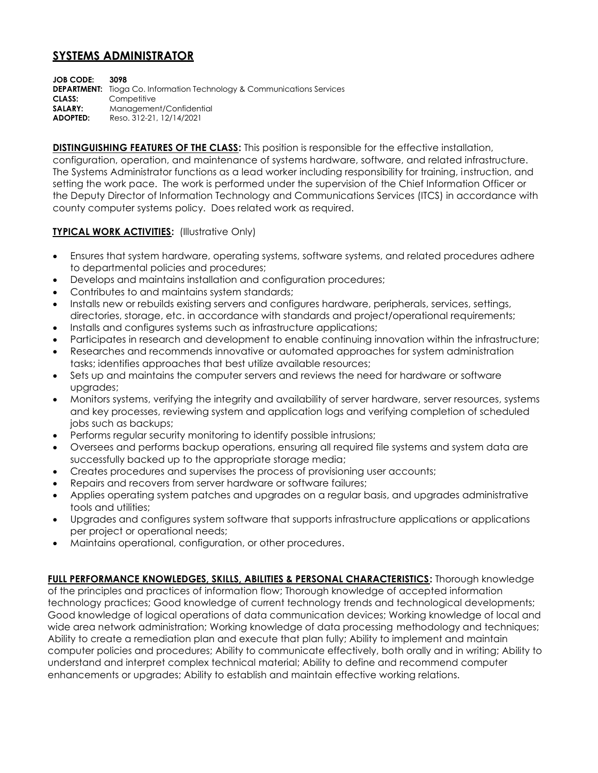## **SYSTEMS ADMINISTRATOR**

**JOB CODE: 3098 DEPARTMENT:** Tioga Co. Information Technology & Communications Services **CLASS:** Competitive **SALARY:** Management/Confidential **ADOPTED:** Reso. 312-21, 12/14/2021

**DISTINGUISHING FEATURES OF THE CLASS:** This position is responsible for the effective installation, configuration, operation, and maintenance of systems hardware, software, and related infrastructure. The Systems Administrator functions as a lead worker including responsibility for training, instruction, and setting the work pace. The work is performed under the supervision of the Chief Information Officer or the Deputy Director of Information Technology and Communications Services (ITCS) in accordance with county computer systems policy. Does related work as required.

## **TYPICAL WORK ACTIVITIES: (Illustrative Only)**

- Ensures that system hardware, operating systems, software systems, and related procedures adhere to departmental policies and procedures;
- Develops and maintains installation and configuration procedures;
- Contributes to and maintains system standards;
- Installs new or rebuilds existing servers and configures hardware, peripherals, services, settings, directories, storage, etc. in accordance with standards and project/operational requirements;
- Installs and configures systems such as infrastructure applications;
- Participates in research and development to enable continuing innovation within the infrastructure;
- Researches and recommends innovative or automated approaches for system administration tasks; identifies approaches that best utilize available resources;
- Sets up and maintains the computer servers and reviews the need for hardware or software upgrades;
- Monitors systems, verifying the integrity and availability of server hardware, server resources, systems and key processes, reviewing system and application logs and verifying completion of scheduled jobs such as backups;
- Performs regular security monitoring to identify possible intrusions;
- Oversees and performs backup operations, ensuring all required file systems and system data are successfully backed up to the appropriate storage media;
- Creates procedures and supervises the process of provisioning user accounts;
- Repairs and recovers from server hardware or software failures;
- Applies operating system patches and upgrades on a regular basis, and upgrades administrative tools and utilities;
- Upgrades and configures system software that supports infrastructure applications or applications per project or operational needs;
- Maintains operational, configuration, or other procedures.

**FULL PERFORMANCE KNOWLEDGES, SKILLS, ABILITIES & PERSONAL CHARACTERISTICS:** Thorough knowledge of the principles and practices of information flow; Thorough knowledge of accepted information technology practices; Good knowledge of current technology trends and technological developments; Good knowledge of logical operations of data communication devices; Working knowledge of local and wide area network administration; Working knowledge of data processing methodology and techniques; Ability to create a remediation plan and execute that plan fully; Ability to implement and maintain computer policies and procedures; Ability to communicate effectively, both orally and in writing; Ability to understand and interpret complex technical material; Ability to define and recommend computer enhancements or upgrades; Ability to establish and maintain effective working relations.